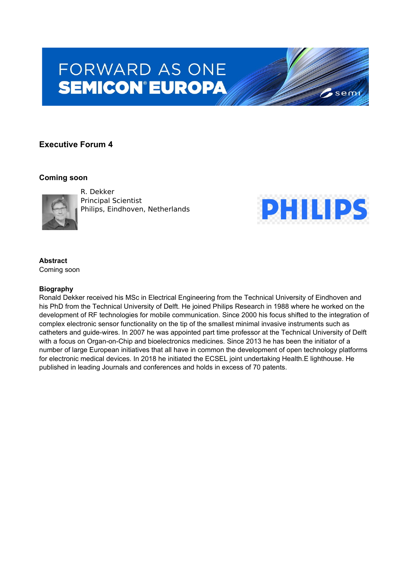# **FORWARD AS ONE SEMICON®EUROPA**

# **Executive Forum 4**

## **Coming soon**



R. Dekker Principal Scientist Philips, Eindhoven, Netherlands



 $\sim$ semi

## **Abstract**

Coming soon

#### **Biography**

Ronald Dekker received his MSc in Electrical Engineering from the Technical University of Eindhoven and his PhD from the Technical University of Delft. He joined Philips Research in 1988 where he worked on the development of RF technologies for mobile communication. Since 2000 his focus shifted to the integration of complex electronic sensor functionality on the tip of the smallest minimal invasive instruments such as catheters and guide-wires. In 2007 he was appointed part time professor at the Technical University of Delft with a focus on Organ-on-Chip and bioelectronics medicines. Since 2013 he has been the initiator of a number of large European initiatives that all have in common the development of open technology platforms for electronic medical devices. In 2018 he initiated the ECSEL joint undertaking Health.E lighthouse. He published in leading Journals and conferences and holds in excess of 70 patents.